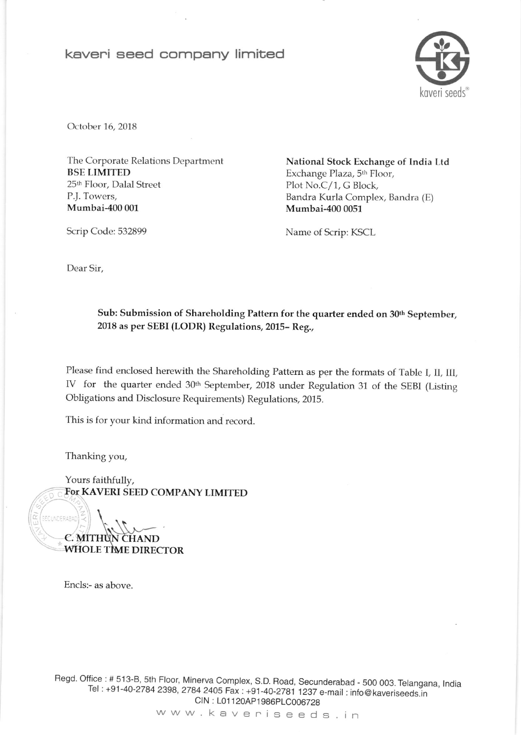## keveni seed company limited



October 16, 2018

The Corporate Relations Department BSE LIMITED 25th Floor, Dalal Street P.J. Towers, Mumbai-400 001

National Stock Exchange of India Ltd Exchange Plaza, 5h Floor, Plot No.C/1, G Block, Bandra Kurla Complex, Bandra (E) Mumbai-400 0051

Scrip Code: 532899 Name of Scrip: KSCL

Dear Sir,

Sub: Submission of Shareholding Pattern for the quarter ended on 30<sup>th</sup> September, 2018 as per SEBI (LODR) Regulations, 2015- Reg.,

Please find enclosed herewith the Shareholding Pattern as per the formats of Table I, II, III, IV for the quarter ended 30<sup>th</sup> September, 2018 under Regulation 31 of the SEBI (Listing Obligations and Disclosure Requirements) Regulations, 2015.

This is for your kind information and record.

Thanking you,

Yours faithfully, FoT KAVERI SEED COMPANY LIMITED

C. WHOLE TIME DIRECTOR

Encls:- as above

Regd. Office : # 513-B, 5th Floor, Minerva Complex, S.D. Road, Secunderabad - 500 003. Telangana, India Tel : +91-40-2784 2398, 2784 2405 Fax : +91-40-2781 1237 e-mail : info@ kaveriseeds.in CIN: L01120AP1986PLC006728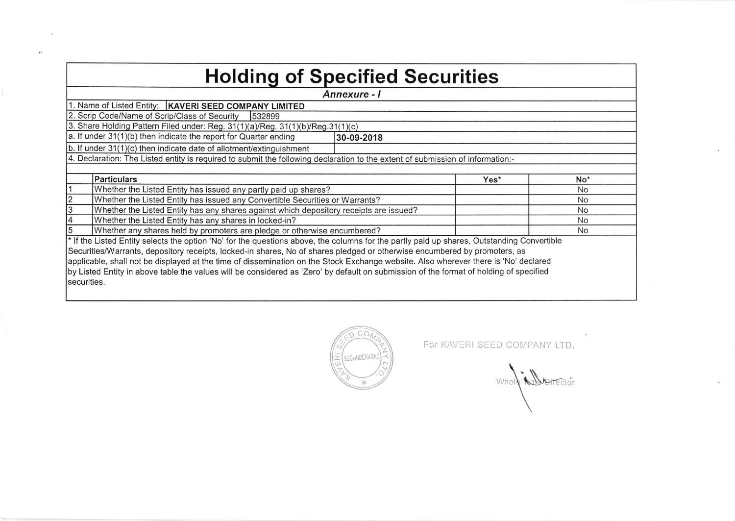## Holding of Specified Securities

| Annexure - I                                                                                                                                          |            |             |  |  |  |  |  |  |  |
|-------------------------------------------------------------------------------------------------------------------------------------------------------|------------|-------------|--|--|--|--|--|--|--|
| 1. Name of Listed Entity:   KAVERI SEED COMPANY LIMITED                                                                                               |            |             |  |  |  |  |  |  |  |
| 2. Scrip Code/Name of Scrip/Class of Security<br>1532899                                                                                              |            |             |  |  |  |  |  |  |  |
| 3. Share Holding Pattern Filed under: Reg. 31(1)(a)/Reg. 31(1)(b)/Reg.31(1)(c)                                                                        |            |             |  |  |  |  |  |  |  |
| a. If under 31(1)(b) then indicate the report for Quarter ending                                                                                      | 30-09-2018 |             |  |  |  |  |  |  |  |
| $\vert$ b. If under 31(1)(c) then indicate date of allotment/extinguishment                                                                           |            |             |  |  |  |  |  |  |  |
| 4. Declaration: The Listed entity is required to submit the following declaration to the extent of submission of information:-                        |            |             |  |  |  |  |  |  |  |
|                                                                                                                                                       |            |             |  |  |  |  |  |  |  |
| <b>Particulars</b>                                                                                                                                    |            | No*<br>Yes* |  |  |  |  |  |  |  |
| Whether the Listed Entity has issued any partly paid up shares?                                                                                       |            | <b>No</b>   |  |  |  |  |  |  |  |
| 2<br>Whether the Listed Entity has issued any Convertible Securities or Warrants?                                                                     |            | No          |  |  |  |  |  |  |  |
| 3<br>Whether the Listed Entity has any shares against which depository receipts are issued?                                                           |            | <b>No</b>   |  |  |  |  |  |  |  |
| Whether the Listed Entity has any shares in locked-in?<br>14                                                                                          |            | <b>No</b>   |  |  |  |  |  |  |  |
| 5<br>Whether any shares held by promoters are pledge or otherwise encumbered?                                                                         |            | No          |  |  |  |  |  |  |  |
| <sup>*</sup> If the Listed Entity selects the option 'No' for the questions above, the columns for the partly paid up shares, Outstanding Convertible |            |             |  |  |  |  |  |  |  |
| Securities/Warrants, depository receipts, locked-in shares, No of shares pledged or otherwise encumbered by promoters, as                             |            |             |  |  |  |  |  |  |  |
| applicable, shall not be displayed at the time of dissemination on the Stock Exchange website. Also wherever there is 'No' declared                   |            |             |  |  |  |  |  |  |  |
| by Listed Entity in above table the values will be considered as 'Zero' by default on submission of the format of holding of specified                |            |             |  |  |  |  |  |  |  |
| securities.                                                                                                                                           |            |             |  |  |  |  |  |  |  |
|                                                                                                                                                       |            |             |  |  |  |  |  |  |  |



For KAVERI SEED COMPANY LTD.

Whole is **Whole**